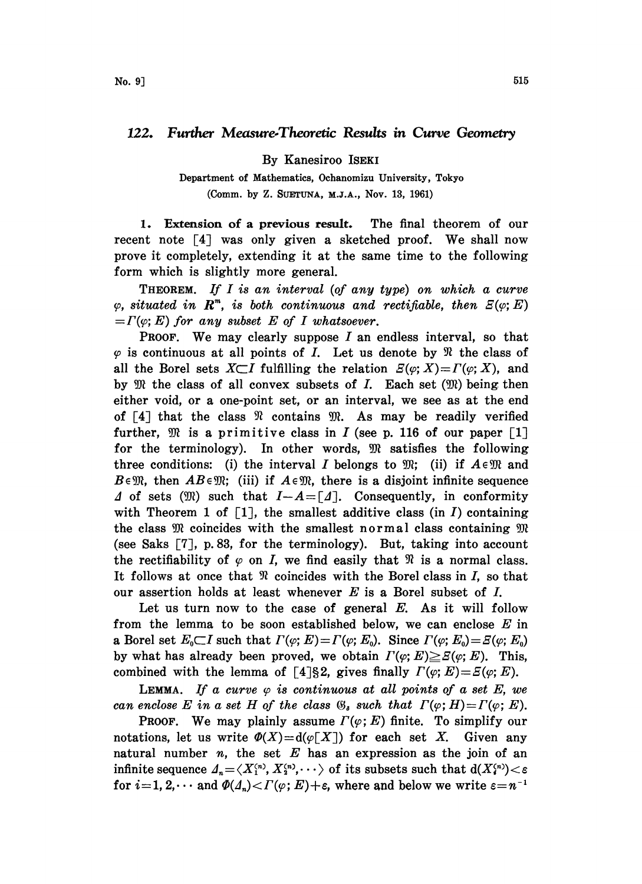## 122. Further Measure-Theoretic Results in Curve Geometry

By Kanesiroo ISEKI

Department of Mathematics, Ochanomizu University, Tokyo (Comm. by Z. SUETUNA, M.J.A., Nov. 13, 1961)

1. Extension of a previous result. The final theorem of our recent note  $\lceil 4 \rceil$  was only given a sketched proof. We shall now prove it completely, extending it at the same time to the following form which is slightly more general.

THEOREM. If I is an interval (of any type) on which a curve  $\varphi$ , situated in  $\mathbb{R}^m$ , is both continuous and rectifiable, then  $E(\varphi; E)$  $=\Gamma(\varphi; E)$  for any subset E of I whatsoever.

**PROOF.** We may clearly suppose  $I$  an endless interval, so that  $\varphi$  is continuous at all points of *I*. Let us denote by  $\Re$  the class of all the Borel sets  $X \subset I$  fulfilling the relation  $E(\varphi; X) = \Gamma(\varphi; X)$ , and by  $\mathfrak M$  the class of all convex subsets of  $I$ . Each set  $(\mathfrak M)$  being then either void, or a one-point set, or an interval, we see as at the end of  $[4]$  that the class  $\Re$  contains  $\Re$ . As may be readily verified further,  $\mathfrak{M}$  is a primitive class in *I* (see p. 116 of our paper [1] for the terminology). In other words,  $\mathfrak{M}$  satisfies the following three conditions: (i) the interval I belongs to  $\mathfrak{M}$ ; (ii) if  $A \in \mathfrak{M}$  and  $B \in \mathfrak{M}$ , then  $AB \in \mathfrak{M}$ ; (iii) if  $A \in \mathfrak{M}$ , there is a disjoint infinite sequence  $\Delta$  of sets (IR) such that  $I-A=[\Delta]$ . Consequently, in conformity with Theorem 1 of  $\lceil 1 \rceil$ , the smallest additive class (in I) containing the class  $M$  coincides with the smallest normal class containing  $M$ (see Saks  $[7]$ , p. 83, for the terminology). But, taking into account the rectifiability of  $\varphi$  on I, we find easily that  $\Re$  is a normal class. It follows at once that  $\Re$  coincides with the Borel class in I, so that our assertion holds at least whenever  $E$  is a Borel subset of  $I$ .

Let us turn now to the case of general  $E$ . As it will follow from the lemma to be soon established below, we can enclose  $E$  in a Borel set  $E_0 \subset I$  such that  $\Gamma(\varphi; E) = \Gamma(\varphi; E_0)$ . Since  $\Gamma(\varphi; E_0) = \varXi(\varphi; E_0)$ by what has already been proved, we obtain  $\Gamma(\varphi; E) \geq \varXi(\varphi; E)$ . This, combined with the lemma of [4]§2, gives finally  $\Gamma(\varphi; E)=\varXi(\varphi; E)$ .

LEMMA. If a curve  $\varphi$  is continuous at all points of a set E, we can enclose E in a set H of the class  $\mathfrak{G}_s$  such that  $\Gamma(\varphi; H)=\Gamma(\varphi; E)$ .

**PROOF.** We may plainly assume  $\Gamma(\varphi; E)$  finite. To simplify our notations, let us write  $\Phi(X) = d(\varphi[X])$  for each set X. Given any natural number  $n$ , the set  $E$  has an expression as the join of an infinite sequence  $\Delta_n = \langle X_1^{(n)}, X_2^{(n)}, \cdots \rangle$  of its subsets such that  $d(X_i^{(n)}) < \varepsilon$ for  $i=1, 2, \cdots$  and  $\Phi(\Lambda_n) < \Gamma(\varphi; E) + \varepsilon$ , where and below we write  $\varepsilon = n^{-1}$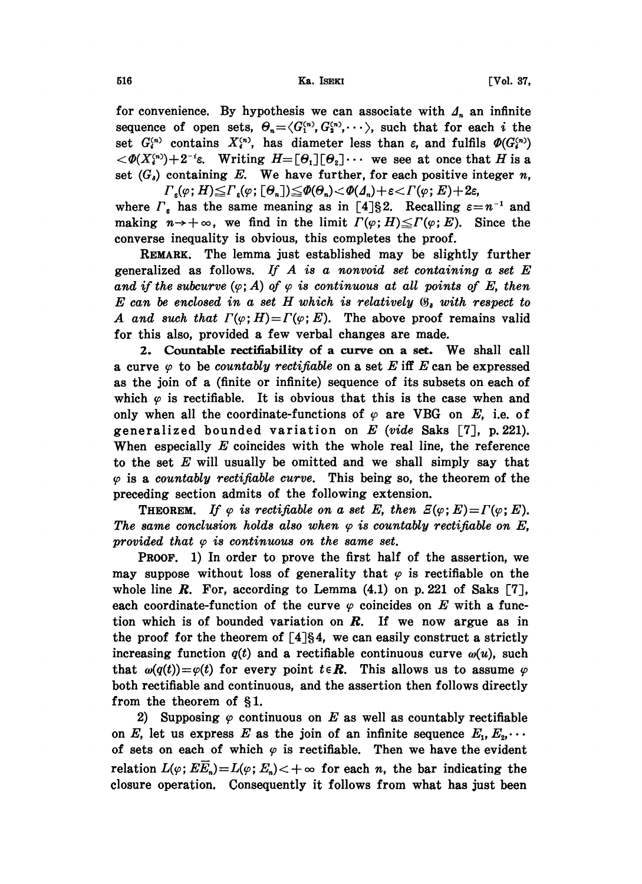for convenience. By hypothesis we can associate with  $\Lambda_n$  an infinite sequence of open sets,  $\Theta_n = \langle G_1^{(n)}, G_2^{(n)}, \cdots \rangle$ , such that for each i the set  $G_i^{(n)}$  contains  $X_i^{(n)}$ , has diameter less than  $\varepsilon$ , and fulfils  $\Phi(G_i^{(n)})$  $\langle \mathcal{A}(X_i^{(n)})+2^{-i}\varepsilon$ . Writing  $H=[\Theta_1][\Theta_2]\cdots$  we see at once that H is a set  $(G_n)$  containing E. We have further, for each positive integer n,  $\Gamma_\epsilon(\varphi;H){\leq}\Gamma_\epsilon(\varphi; [\Theta_\mathit{n}]){\leq}\varPhi(\Theta_\mathit{n}){<}\varPhi(\varDelta_\mathit{n}){+}\varepsilon{<}\varGamma(\varphi;E){+2}\varepsilon,$ 

where  $\Gamma_{\varepsilon}$  has the same meaning as in [4]§2. Recalling  $\varepsilon = n^{-1}$  and where  $\Gamma_{\varepsilon}$  has the same meaning as in [4]§2. Recalling  $\varepsilon = n^{-1}$  and making  $n \to +\infty$ , we find in the limit  $\Gamma(\varphi; H) \leq \Gamma(\varphi; E)$ . Since the converse inequality is obvious, this completes the proof.

REMARK. The lemma just established may be slightly further generalized as follows. If  $A$  is a nonvoid set containing a set  $E$ and if the subcurve  $(\varphi; A)$  of  $\varphi$  is continuous at all points of E, then  $E$  can be enclosed in a set  $H$  which is relatively  $\mathfrak{G}_i$  with respect to A and such that  $\Gamma(\varphi; H) = \Gamma(\varphi; E)$ . The above proof remains valid for this also, provided a few verbal changes are made.

2. Countable rectifiability of a curve on a set. We shall call a curve  $\varphi$  to be countably rectifiable on a set E iff E can be expressed as the join of a (finite or infinite) sequence of its subsets on each of which  $\varphi$  is rectifiable. It is obvious that this is the case when and only when all the coordinate-functions of  $\varphi$  are VBG on E, i.e. of generalized bounded variation on  $E$  (vide Saks [7], p. 221). When especially  $E$  coincides with the whole real line, the reference to the set  $E$  will usually be omitted and we shall simply say that  $\varphi$  is a countably rectifiable curve. This being so, the theorem of the preceding section admits of the following extension.

**THEOREM.** If  $\varphi$  is rectifiable on a set E, then  $E(\varphi; E)=\Gamma(\varphi; E)$ . The same conclusion holds also when  $\varphi$  is countably rectifiable on E, provided that  $\varphi$  is continuous on the same set.

PROOF. 1) In order to prove the first half of the assertion, we may suppose without loss of generality that  $\varphi$  is rectifiable on the whole line  $R$ . For, according to Lemma  $(4.1)$  on p. 221 of Saks  $[7]$ , each coordinate-function of the curve  $\varphi$  coincides on E with a function which is of bounded variation on  $R$ . If we now argue as in the proof for the theorem of  $[4]$ §4, we can easily construct a strictly increasing function  $q(t)$  and a rectifiable continuous curve  $\omega(u)$ , such that  $\omega(q(t)) = \varphi(t)$  for every point  $t \in \mathbb{R}$ . This allows us to assume  $\varphi$ both rectifiable and continuous, and the assertion then follows directly from the theorem of  $\S1$ .

2) Supposing  $\varphi$  continuous on E as well as countably rectifiable on E, let us express E as the join of an infinite sequence  $E_1, E_2, \cdots$ of sets on each of which  $\varphi$  is rectifiable. Then we have the evident relation  $L(\varphi; E E_n) = L(\varphi; E_n) < +\infty$  for each n, the bar indicating the  $+\infty$  for each *n*, the bar indicating the<br>tly it follows from what has just been closure operation. Consequently it follows from what has just been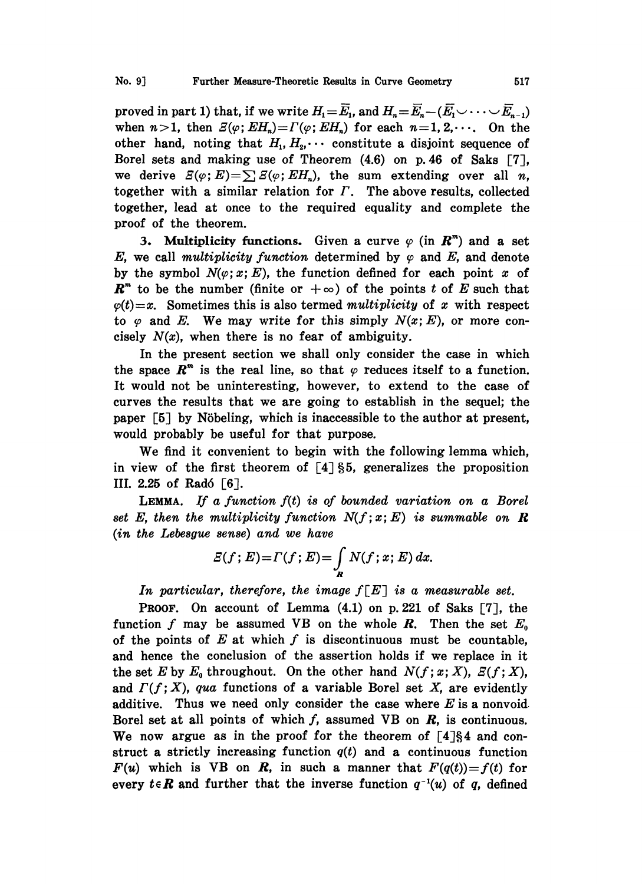proved in part 1) that, if we write  $H_1=\overline{E}_1$ , and  $H_n=\overline{E}_n-(\overline{E}_1\vee\cdots\vee\overline{E}_{n-1})$ when  $n>1$ , then  $\mathcal{Z}(\varphi; E H_n)=\Gamma(\varphi; E H_n)$  for each  $n=1, 2, \cdots$ . On the other hand, noting that  $H_1, H_2, \cdots$  constitute a disjoint sequence of Borel sets and making use of Theorem (4.6) on p. 46 of Saks [7], we derive  $E(\varphi;E)=\sum E(\varphi;EH_n)$ , the sum extending over all n, together with a similar relation for  $\Gamma$ . The above results, collected together, lead at once to the required equality and complete the proof of the theorem.

3. Multiplicity functions. Given a curve  $\varphi$  (in  $\mathbb{R}^m$ ) and a set E, we call multiplicity function determined by  $\varphi$  and E, and denote by the symbol  $N(\varphi; x; E)$ , the function defined for each point x of  $\mathbb{R}^m$  to be the number (finite or  $+\infty$ ) of the points t of E such that  $\varphi(t)=x$ . Sometimes this is also termed multiplicity of x with respect to  $\varphi$  and E. We may write for this simply  $N(x; E)$ , or more concisely  $N(x)$ , when there is no fear of ambiguity.

In the present section we shall only consider the case in which the space  $\mathbb{R}^m$  is the real line, so that  $\varphi$  reduces itself to a function. It would not be uninteresting, however, to extend to the case of curves the results that we are going to establish in the sequel; the paper  $\lceil 5 \rceil$  by Nöbeling, which is inaccessible to the author at present, would probably be useful for that purpose.

We find it convenient to begin with the following lemma which, in view of the first theorem of  $\lceil 4 \rceil \S 5$ , generalizes the proposition III. 2.25 of Radó  $[6]$ .

LEMMA. If a function  $f(t)$  is of bounded variation on a Borel set E, then the multiplicity function  $N(f; x; E)$  is summable on R (in the Lebesgue sense) and we have

$$
E(f;E)=\Gamma(f;E)=\int_R N(f;x;E)\,dx.
$$

In particular, therefore, the image  $f[E]$  is a measurable set.

PROOF. On account of Lemma (4.1) on p. 221 of Saks [7], the function f may be assumed VB on the whole  $R$ . Then the set  $E_0$ of the points of  $E$  at which  $f$  is discontinuous must be countable, and hence the conclusion of the assertion holds if we replace in it the set E by  $E_0$  throughout. On the other hand  $N(f; x; X)$ ,  $E(f; X)$ , and  $\Gamma(f; X)$ , qua functions of a variable Borel set X, are evidently additive. Thus we need only consider the case where  $E$  is a nonvoid. Borel set at all points of which  $f$ , assumed VB on  $R$ , is continuous. We now argue as in the proof for the theorem of  $\lceil 4 \rceil \S 4$  and construct a strictly increasing function  $q(t)$  and a continuous function  $F(u)$  which is VB on R, in such a manner that  $F(q(t))=f(t)$  for every  $t \in \mathbb{R}$  and further that the inverse function  $q^{-1}(u)$  of q, defined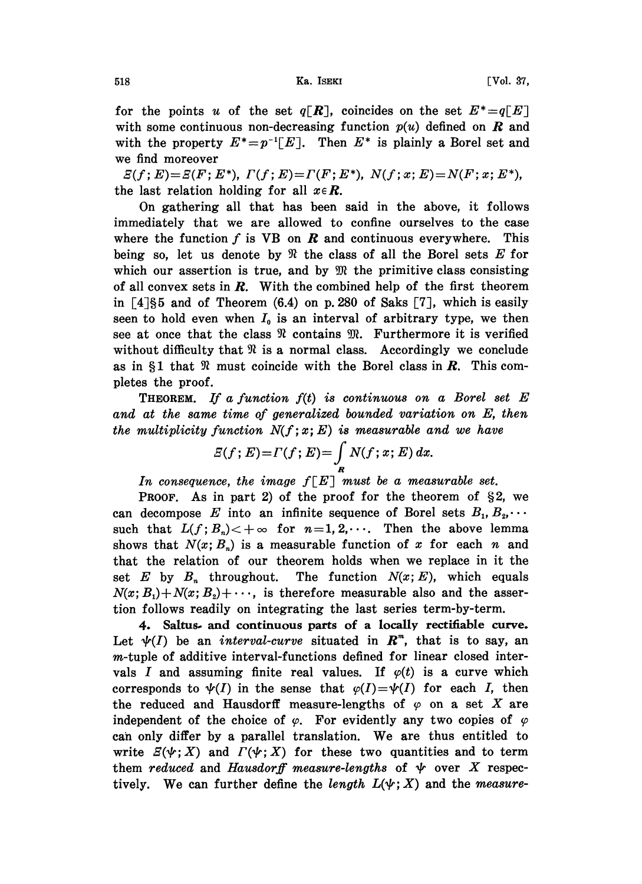518 **Ka. ISEKI** Ka. ISEKI [Vol. 37,

for the points u of the set  $q[\mathbf{R}]$ , coincides on the set  $E^* = q[E]$ with some continuous non-decreasing function  $p(u)$  defined on  $\boldsymbol{R}$  and with the property  $E^*=p^{-1}[E]$ . Then  $E^*$  is plainly a Borel set and we find moreover

 $E(f; E) = E(F; E^*), \ \Gamma(f; E) = \Gamma(F; E^*), \ \ N(f; x; E) = N(F; x; E^*),$ the last relation holding for all  $x \in \mathbb{R}$ .

On gathering all that has been said in the above, it follows immediately that we are allowed to confine ourselves to the case where the function  $f$  is VB on  $\boldsymbol{R}$  and continuous everywhere. This being so, let us denote by  $\Re$  the class of all the Borel sets E for which our assertion is true, and by  $\mathfrak{M}$  the primitive class consisting of all convex sets in  $R$ . With the combined help of the first theorem in  $\lceil 4 \rceil \xi 5$  and of Theorem (6.4) on p. 280 of Saks  $\lceil 7 \rceil$ , which is easily seen to hold even when  $I_0$  is an interval of arbitrary type, we then see at once that the class  $\Re$  contains  $\Re$ . Furthermore it is verified without difficulty that  $\Re$  is a normal class. Accordingly we conclude as in  $\S1$  that  $\Re$  must coincide with the Borel class in  $\mathbf{R}$ . This completes the proof.

**THEOREM.** If a function  $f(t)$  is continuous on a Borel set  $E$ and at the same time of generalized bounded variation on E, then the multiplicity function  $N(f; x; E)$  is measurable and we have

$$
E(f;E)=\Gamma(f;E)=\int_{R} N(f;x;E)\,dx.
$$

In consequence, the image  $f[E]$  must be a measurable set.

**PROOF.** As in part 2) of the proof for the theorem of  $\S 2$ , we can decompose E into an infinite sequence of Borel sets  $B_1, B_2, \cdots$ such that  $L(f; B_n)$   $\lt$  +  $\infty$  for  $n=1,2,\cdots$ . Then the above lemma shows that  $N(x; B_n)$  is a measurable function of x for each n and that the relation of our theorem holds when we replace in it the set E by  $B_n$  throughout. The function  $N(x; E)$ , which equals  $N(x; B_1) + N(x; B_2) + \cdots$ , is therefore measurable also and the assertion follows readily on integrating the last series term-by-term.

4. Saltus. and continuous parts of a locally rectifiable curve. Let  $\psi(I)$  be an *interval-curve* situated in  $\mathbb{R}^m$ , that is to say, an m-tuple of additive interval-functions defined for linear closed intervals I and assuming finite real values. If  $\varphi(t)$  is a curve which corresponds to  $\psi(I)$  in the sense that  $\varphi(I)=\psi(I)$  for each I, then the reduced and Hausdorff measure-lengths of  $\varphi$  on a set X are independent of the choice of  $\varphi$ . For evidently any two copies of  $\varphi$ can only differ by a parallel translation. We are thus entitled to write  $E(\psi;X)$  and  $\Gamma(\psi;X)$  for these two quantities and to term them reduced and Hausdorff measure-lengths of  $\psi$  over X respectively. We can further define the length  $L(\psi; X)$  and the measure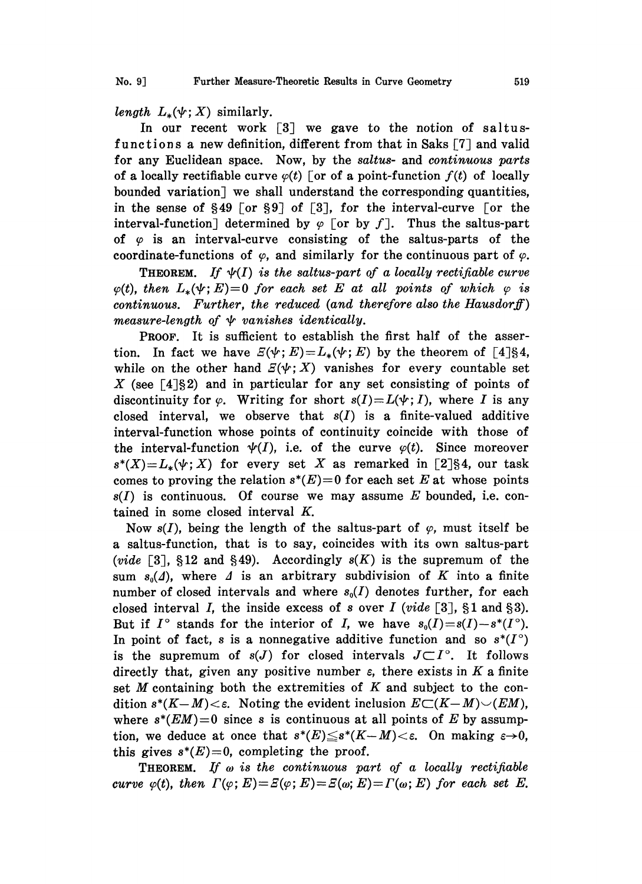length  $L_*(\psi; X)$  similarly.

In our recent work [3] we gave to the notion of saltusfunctions a new definition, different from that in Saks  $[7]$  and valid for any Euclidean space. Now, by the saltus- and continuous parts of a locally rectifiable curve  $\varphi(t)$  for of a point-function  $f(t)$  of locally bounded variation] we shall understand the corresponding quantities, in the sense of  $\S 49$  [or  $\S 9$ ] of [3], for the interval-curve [or the interval-function] determined by  $\varphi$  for by f]. Thus the saltus-part of  $\varphi$  is an interval-curve consisting of the saltus-parts of the coordinate-functions of  $\varphi$ , and similarly for the continuous part of  $\varphi$ .

**THEOREM.** If  $\psi(I)$  is the saltus-part of a locally rectifiable curve  $\varphi(t)$ , then  $L_*(\Psi; E)=0$  for each set E at all points of which  $\varphi$  is continuous. Further, the reduced (and therefore also the Hausdorff) measure-length of  $\psi$  vanishes identically.

PROOF. It is sufficient to establish the first half of the assertion. In fact we have  $E(\psi; E)=L_*(\psi; E)$  by the theorem of [4]§4, while on the other hand  $E(\psi; X)$  vanishes for every countable set X (see  $\lceil 4 \rceil \xi 2$ ) and in particular for any set consisting of points of discontinuity for  $\varphi$ . Writing for short  $s(I) = L(\psi; I)$ , where I is any closed interval, we observe that  $s(I)$  is a finite-valued additive interval-function whose points of continuity coincide with those of the interval-function  $\psi(I)$ , i.e. of the curve  $\varphi(t)$ . Since moreover  $s^*(X)=L_*(\psi;X)$  for every set X as remarked in [2]§4, our task comes to proving the relation  $s^*(E)=0$  for each set E at whose points  $s(I)$  is continuous. Of course we may assume E bounded, i.e. contained in some closed interval K.

Now  $s(I)$ , being the length of the saltus-part of  $\varphi$ , must itself be a saltus-function, that is to say, coincides with its own saltus-part (vide  $[3]$ , §12 and §49). Accordingly  $s(K)$  is the supremum of the sum  $s_0(\Lambda)$ , where  $\Lambda$  is an arbitrary subdivision of K into a finite number of closed intervals and where  $s_0(I)$  denotes further, for each closed interval I, the inside excess of s over I (vide [3],  $\S 1$  and  $\S 3$ ). But if  $I^{\circ}$  stands for the interior of I, we have  $s_0(I)=s(I)-s^*(I^{\circ})$ . In point of fact, s is a nonnegative additive function and so  $s^*(I^{\circ})$ is the supremum of  $s(J)$  for closed intervals  $J\subset I^{\circ}$ . It follows directly that, given any positive number  $\varepsilon$ , there exists in K a finite set  $M$  containing both the extremities of  $K$  and subject to the condition  $s^*(K-M) < \varepsilon$ . Noting the evident inclusion  $E\subset (K-M) \setminus (EM)$ , where  $s^*(EM)=0$  since s is continuous at all points of E by assumption, we deduce at once that  $s^*(E) \leq s^*(K-M) < \varepsilon$ . On making  $\varepsilon \to 0$ , this gives  $s^*(E)=0$ , completing the proof.

**THEOREM.** If  $\omega$  is the continuous part of a locally rectifiable curve  $\varphi(t)$ , then  $\Gamma(\varphi; E) = E(\varphi; E) = E(\omega; E) = \Gamma(\omega; E)$  for each set E.